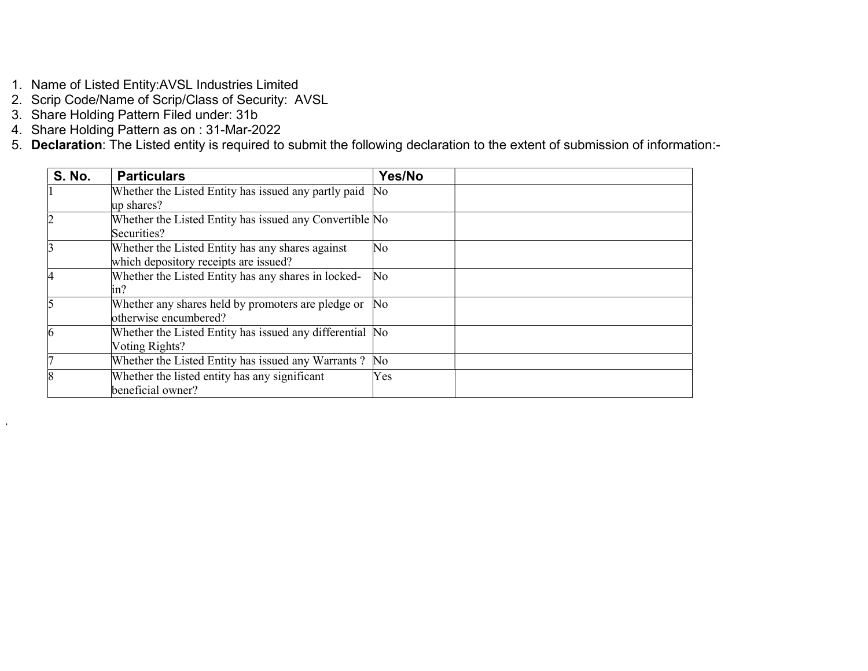- 1. Name of Listed Entity:AVSL Industries Limited
- 2. Scrip Code/Name of Scrip/Class of Security: AVSL
- 3. Share Holding Pattern Filed under: 31b

 $\epsilon$ 

- 4. Share Holding Pattern as on : 31-Mar-2022
- 5. Declaration: The Listed entity is required to submit the following declaration to the extent of submission of information:-

| <b>S. No.</b> | <b>Particulars</b>                                                                        | Yes/No                 |
|---------------|-------------------------------------------------------------------------------------------|------------------------|
|               | Whether the Listed Entity has issued any partly paid<br>up shares?                        | $\rm No$               |
|               | Whether the Listed Entity has issued any Convertible No<br>Securities?                    |                        |
|               | Whether the Listed Entity has any shares against<br>which depository receipts are issued? | $\overline{\text{No}}$ |
| 14            | Whether the Listed Entity has any shares in locked-<br>$\ln$ ?                            | No                     |
|               | Whether any shares held by promoters are pledge or<br>otherwise encumbered?               | $\rm No$               |
| 6             | Whether the Listed Entity has issued any differential No<br>Voting Rights?                |                        |
|               | Whether the Listed Entity has issued any Warrants?                                        | $\overline{\text{No}}$ |
|               | Whether the listed entity has any significant<br>beneficial owner?                        | Yes                    |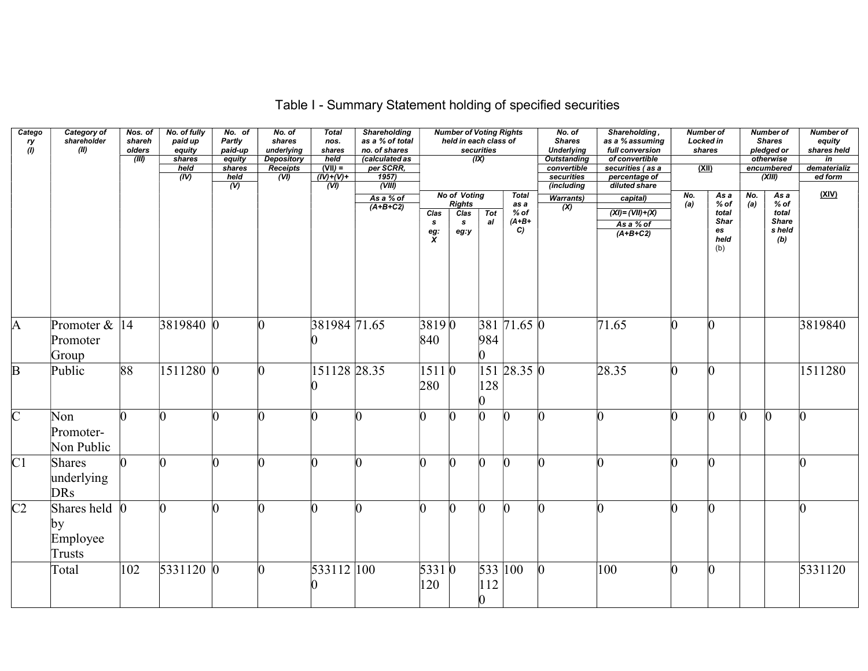| Catego<br>ry<br>(l) | Category of<br>shareholder<br>(II)                  | Nos. of<br>shareh<br>olders<br>(III) | No. of fully<br>paid up<br>equity<br>shares<br>held<br>(IV) | No. of<br>Partly<br>paid-up<br>equity<br>shares<br>held<br>$\omega$ | No. of<br>shares<br>underlying<br><b>Depository</b><br><b>Receipts</b><br>(VI) | <b>Total</b><br>nos.<br>shares<br>held<br>$(VII) =$<br>$(IV)+(V)+$<br>$\overline{(V)}$ | <b>Shareholding</b><br>as a % of total<br>no. of shares<br>(calculated as<br>per SCRR,<br>$\frac{1957}{(VIII)}$ |                                        | <b>Number of Voting Rights</b><br>held in each class of   | securities<br>(IX)      |                                          | No. of<br><b>Shares</b><br><b>Underlying</b><br><b>Outstanding</b><br>convertible<br>securities<br>(including | Shareholding,<br>as a % assuming<br>full conversion<br>of convertible<br>securities (as a<br>percentage of<br>diluted share |            | <b>Number of</b><br>Locked in<br>shares<br><u>(XII)</u>     |            | <b>Number of</b><br><b>Shares</b><br>pledged or<br>otherwise<br>encumbered<br>(XIII) | <b>Number of</b><br>equity<br>shares held<br>in<br>dematerializ<br>ed form |
|---------------------|-----------------------------------------------------|--------------------------------------|-------------------------------------------------------------|---------------------------------------------------------------------|--------------------------------------------------------------------------------|----------------------------------------------------------------------------------------|-----------------------------------------------------------------------------------------------------------------|----------------------------------------|-----------------------------------------------------------|-------------------------|------------------------------------------|---------------------------------------------------------------------------------------------------------------|-----------------------------------------------------------------------------------------------------------------------------|------------|-------------------------------------------------------------|------------|--------------------------------------------------------------------------------------|----------------------------------------------------------------------------|
|                     |                                                     |                                      |                                                             |                                                                     |                                                                                |                                                                                        | As a % of<br>$(A+B+C2)$                                                                                         | Clas<br>$\mathbf{s}$<br>$\frac{eg}{X}$ | <b>No of Voting</b><br><b>Rights</b><br>Clas<br>s<br>eg:y | Tot<br>al               | Total<br>as a<br>$%$ of<br>$(A+B+$<br>C) | <b>Warrants)</b><br>$\infty$                                                                                  | capital)<br>$(XI) = (VII) + (X)$<br>As a % of<br>$(A+B+C2)$                                                                 | No.<br>(a) | As a<br>$%$ of<br>total<br><b>Shar</b><br>es<br>held<br>(b) | No.<br>(a) | As a<br>% of<br>total<br><b>Share</b><br>s held<br>(b)                               | <u>(XIV)</u>                                                               |
| A                   | Promoter $\&$  14<br>Promoter<br>Group              |                                      | 3819840 0                                                   |                                                                     | $\Omega$                                                                       | 381984 71.65                                                                           |                                                                                                                 | 38190<br>840                           |                                                           | 984<br>n.               | $381$ 71.65 0                            |                                                                                                               | 71.65                                                                                                                       | n          | n                                                           |            |                                                                                      | 3819840                                                                    |
| $\overline{B}$      | Public                                              | 88                                   | 1511280 0                                                   |                                                                     |                                                                                | 151128 28.35                                                                           |                                                                                                                 | 1511 0<br>280                          |                                                           | 128                     | 151 28.35 0                              |                                                                                                               | 28.35                                                                                                                       |            | n                                                           |            |                                                                                      | 1511280                                                                    |
| $\overline{C}$      | Non<br>Promoter-<br>Non Public                      |                                      |                                                             |                                                                     |                                                                                |                                                                                        |                                                                                                                 |                                        |                                                           |                         | n                                        |                                                                                                               |                                                                                                                             |            | n                                                           |            | n                                                                                    | n                                                                          |
| C <sub>1</sub>      | <b>Shares</b><br>underlying<br><b>DRs</b>           |                                      |                                                             |                                                                     |                                                                                |                                                                                        |                                                                                                                 |                                        |                                                           | n                       | O                                        |                                                                                                               | N                                                                                                                           |            | n                                                           |            |                                                                                      | $\Omega$                                                                   |
| C <sub>2</sub>      | Shares held $\vert$ 0<br> by <br>Employee<br>Trusts |                                      |                                                             | n                                                                   |                                                                                |                                                                                        |                                                                                                                 |                                        | $\Omega$                                                  | n                       | n.                                       | n                                                                                                             | n                                                                                                                           |            | l0                                                          |            |                                                                                      | $\overline{0}$                                                             |
|                     | Total                                               | 102                                  | 5331120 0                                                   |                                                                     |                                                                                | 533112 100                                                                             |                                                                                                                 | 53310<br>120                           |                                                           | 112<br>$\boldsymbol{0}$ | 533 100                                  | 0                                                                                                             | 100                                                                                                                         |            | n                                                           |            |                                                                                      | 5331120                                                                    |

## Table I - Summary Statement holding of specified securities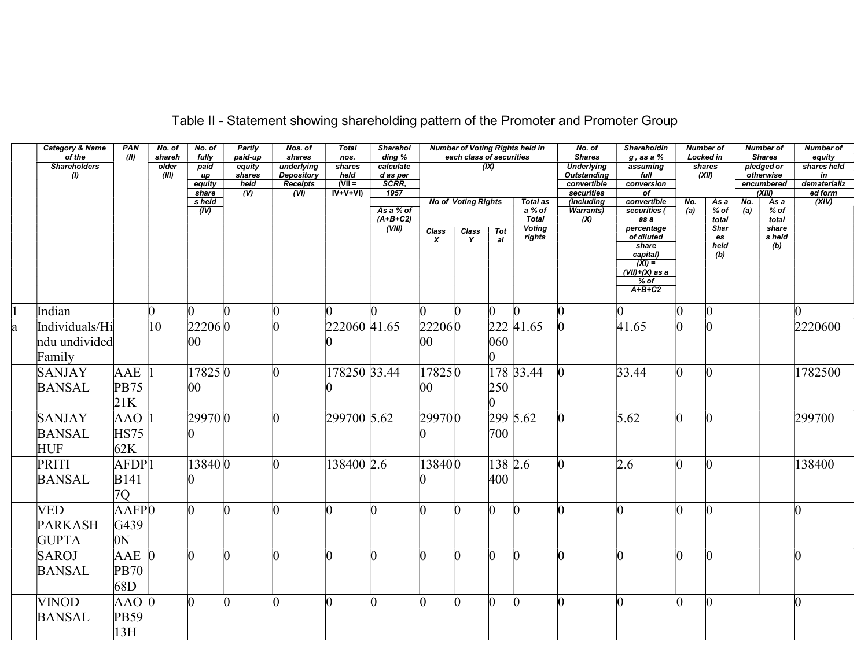|    | <b>Category &amp; Name</b> | PAN                 | No. of       | No. of       | Partly         | Nos. of                       | <b>Total</b>    | <b>Sharehol</b>     |                     |                            |                 | <b>Number of Voting Rights held in</b> | No. of                                  | <b>Shareholdin</b>                    |                 | <b>Number of</b>  |     | <b>Number of</b>        | <b>Number of</b>               |
|----|----------------------------|---------------------|--------------|--------------|----------------|-------------------------------|-----------------|---------------------|---------------------|----------------------------|-----------------|----------------------------------------|-----------------------------------------|---------------------------------------|-----------------|-------------------|-----|-------------------------|--------------------------------|
|    | of the                     | (III)               | shareh       | fully        | paid-up        | shares                        | nos.            | ding %              |                     | each class of securities   |                 |                                        | <b>Shares</b>                           | $g$ , as a $%$                        |                 | <b>Locked in</b>  |     | <b>Shares</b>           | equity                         |
|    | <b>Shareholders</b>        |                     | older        | paid         | equity         | underlying                    | shares          | calculate           |                     |                            | (IX)            |                                        | <b>Underlying</b><br><b>Outstanding</b> | assuming<br>full                      |                 | shares            |     | pledged or              | shares held                    |
|    | $\left( I\right)$          |                     | (III)        | up<br>equity | shares<br>held | <b>Depository</b><br>Receipts | held<br>$NII =$ | $d$ as per<br>SCRR, |                     |                            |                 |                                        | convertible                             | conversion                            |                 | (XII)             |     | otherwise<br>encumbered | $\overline{m}$<br>dematerializ |
|    |                            |                     |              | share        | $($ V)         | (V)                           | $IV+V+VI)$      | 1957                |                     |                            |                 |                                        | securities                              | of                                    |                 |                   |     | (XIII)                  | ed form                        |
|    |                            |                     |              | s held       |                |                               |                 |                     |                     | <b>No of Voting Rights</b> |                 | <b>Total as</b>                        | (including                              | convertible                           | No.             | As a              | No. | As a                    | (XIV)                          |
|    |                            |                     |              | (IV)         |                |                               |                 | As a % of           |                     |                            |                 | a % of                                 | <b>Warrants)</b>                        | securities (                          | (a)             | $%$ of            | (a) | % of                    |                                |
|    |                            |                     |              |              |                |                               |                 | $(A+B+C2)$          |                     |                            |                 | <b>Total</b>                           | (X)                                     | $\overline{as} a$                     |                 | total             |     | total                   |                                |
|    |                            |                     |              |              |                |                               |                 | (VIII)              | <b>Class</b>        | Class                      | <b>Tot</b>      | <b>Voting</b><br>rights                |                                         | percentage<br>of diluted              |                 | <b>Shar</b><br>es |     | share<br>s held         |                                |
|    |                            |                     |              |              |                |                               |                 |                     | X                   | Y                          | al              |                                        |                                         | share                                 |                 | held              |     | (b)                     |                                |
|    |                            |                     |              |              |                |                               |                 |                     |                     |                            |                 |                                        |                                         | capital)                              |                 | (b)               |     |                         |                                |
|    |                            |                     |              |              |                |                               |                 |                     |                     |                            |                 |                                        |                                         | $\overline{(XI)}$                     |                 |                   |     |                         |                                |
|    |                            |                     |              |              |                |                               |                 |                     |                     |                            |                 |                                        |                                         | $\overline{(VII)+(X)}$ as a<br>$%$ of |                 |                   |     |                         |                                |
|    |                            |                     |              |              |                |                               |                 |                     |                     |                            |                 |                                        |                                         | $A+B+C2$                              |                 |                   |     |                         |                                |
|    |                            |                     |              |              |                |                               |                 |                     |                     |                            |                 |                                        |                                         |                                       |                 |                   |     |                         |                                |
|    | Indian                     |                     |              | lO.          | $\Omega$       | n                             | n               | ∩                   | n.                  | n                          | $\vert 0 \vert$ | $\Omega$                               | IO.                                     | n                                     | n               | $\vert 0 \vert$   |     |                         |                                |
| la | Individuals/Hi             |                     | $ 10\rangle$ | 22206 0      |                |                               | 222060 41.65    |                     | 222060              |                            |                 | 222 41.65                              |                                         | 41.65                                 | $\vert 0 \vert$ | l0                |     |                         | 2220600                        |
|    | ndu undivided              |                     |              | $ 00\rangle$ |                |                               |                 |                     | 00                  |                            | 060             |                                        |                                         |                                       |                 |                   |     |                         |                                |
|    |                            |                     |              |              |                |                               |                 |                     |                     |                            |                 |                                        |                                         |                                       |                 |                   |     |                         |                                |
|    | Family                     |                     |              |              |                |                               |                 |                     |                     |                            |                 |                                        |                                         |                                       |                 |                   |     |                         |                                |
|    | <b>SANJAY</b>              | AAE                 |              | 17825 0      |                | ∩                             | 178250 33.44    |                     | $17825\overline{0}$ |                            |                 | 178 33.44                              | $\Omega$                                | 33.44                                 | $\vert 0 \vert$ | l0                |     |                         | 1782500                        |
|    |                            | <b>PB75</b>         |              |              |                |                               |                 |                     | $ 00\rangle$        |                            |                 |                                        |                                         |                                       |                 |                   |     |                         |                                |
|    | <b>BANSAL</b>              |                     |              | $ 00\rangle$ |                |                               |                 |                     |                     |                            | 250             |                                        |                                         |                                       |                 |                   |     |                         |                                |
|    |                            | 21K                 |              |              |                |                               |                 |                     |                     |                            |                 |                                        |                                         |                                       |                 |                   |     |                         |                                |
|    | <b>SANJAY</b>              | AAO                 |              | 299700       |                | ⋂                             | 299700 5.62     |                     | 299700              |                            |                 | 299 5.62                               | $\Omega$                                | $\overline{5.62}$                     | 0               | $\Omega$          |     |                         | 299700                         |
|    | <b>BANSAL</b>              | <b>HS75</b>         |              |              |                |                               |                 |                     |                     |                            | 700             |                                        |                                         |                                       |                 |                   |     |                         |                                |
|    |                            |                     |              |              |                |                               |                 |                     |                     |                            |                 |                                        |                                         |                                       |                 |                   |     |                         |                                |
|    | <b>HUF</b>                 | 62K                 |              |              |                |                               |                 |                     |                     |                            |                 |                                        |                                         |                                       |                 |                   |     |                         |                                |
|    | PRITI                      | AFDP <sup> </sup> 1 |              | 13840 0      |                | n                             | 138400 2.6      |                     | 138400              |                            | 138 2.6         |                                        | $\Omega$                                | 2.6                                   | Ю               | $\Omega$          |     |                         | 138400                         |
|    | <b>BANSAL</b>              | <b>B141</b>         |              |              |                |                               |                 |                     |                     |                            | 400             |                                        |                                         |                                       |                 |                   |     |                         |                                |
|    |                            |                     |              |              |                |                               |                 |                     |                     |                            |                 |                                        |                                         |                                       |                 |                   |     |                         |                                |
|    |                            | 7Q                  |              |              |                |                               |                 |                     |                     |                            |                 |                                        |                                         |                                       |                 |                   |     |                         |                                |
|    | VED                        | AAFPO               |              |              |                |                               |                 |                     |                     |                            | n               |                                        |                                         |                                       |                 |                   |     |                         |                                |
|    | <b>PARKASH</b>             | G439                |              |              |                |                               |                 |                     |                     |                            |                 |                                        |                                         |                                       |                 |                   |     |                         |                                |
|    |                            |                     |              |              |                |                               |                 |                     |                     |                            |                 |                                        |                                         |                                       |                 |                   |     |                         |                                |
|    | <b>GUPTA</b>               | 0N                  |              |              |                |                               |                 |                     |                     |                            |                 |                                        |                                         |                                       |                 |                   |     |                         |                                |
|    | SAROJ                      | $AAE$ 0             |              | n            |                |                               | n               | ∩                   | n                   |                            | n               | $\Omega$                               | $\Omega$                                | n                                     | n               | n                 |     |                         |                                |
|    | <b>BANSAL</b>              | <b>PB70</b>         |              |              |                |                               |                 |                     |                     |                            |                 |                                        |                                         |                                       |                 |                   |     |                         |                                |
|    |                            |                     |              |              |                |                               |                 |                     |                     |                            |                 |                                        |                                         |                                       |                 |                   |     |                         |                                |
|    |                            | 68D                 |              |              |                |                               |                 |                     |                     |                            |                 |                                        |                                         |                                       |                 |                   |     |                         |                                |
|    | <b>VINOD</b>               | $AAO$ $0$           |              |              |                |                               |                 |                     |                     |                            |                 |                                        |                                         |                                       |                 |                   |     |                         |                                |
|    | <b>BANSAL</b>              | <b>PB59</b>         |              |              |                |                               |                 |                     |                     |                            |                 |                                        |                                         |                                       |                 |                   |     |                         |                                |
|    |                            |                     |              |              |                |                               |                 |                     |                     |                            |                 |                                        |                                         |                                       |                 |                   |     |                         |                                |
|    |                            | 13H                 |              |              |                |                               |                 |                     |                     |                            |                 |                                        |                                         |                                       |                 |                   |     |                         |                                |

## Table II - Statement showing shareholding pattern of the Promoter and Promoter Group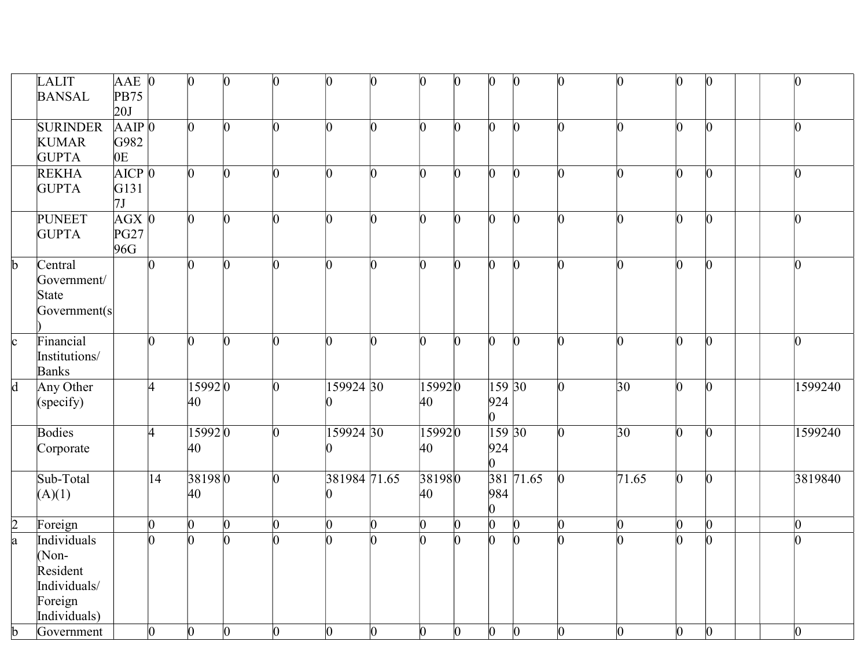|                         | LALIT<br><b>BANSAL</b>                                                        | $AAE$ 0<br><b>PB75</b><br>20J            |                 | $\vert 0 \vert$ | $\vert 0 \vert$ | $\Omega$       | $\vert 0 \vert$ | 0              | $\vert 0 \vert$ | $\Omega$       | $\vert 0 \vert$                 | $\Omega$        | $\overline{0}$  | $\vert 0 \vert$ | $\vert 0 \vert$ | $\vert 0 \vert$ | $\vert 0 \vert$ |         |
|-------------------------|-------------------------------------------------------------------------------|------------------------------------------|-----------------|-----------------|-----------------|----------------|-----------------|----------------|-----------------|----------------|---------------------------------|-----------------|-----------------|-----------------|-----------------|-----------------|-----------------|---------|
|                         | <b>SURINDER</b><br><b>KUMAR</b><br><b>GUPTA</b>                               | $AAP$ <sub>0</sub><br>G982<br>0E         |                 | $\Omega$        | $\vert 0 \vert$ | $\Omega$       | $\overline{0}$  | h              | $\overline{0}$  | $\Omega$       | $\overline{0}$                  | $\Omega$        | h               | $\Omega$        | $\overline{0}$  | l0              | $\overline{0}$  |         |
|                         | <b>REKHA</b><br><b>GUPTA</b>                                                  | AICP <sub>0</sub><br>G131<br>7J          |                 | n.              | $\vert 0 \vert$ | n              | h               | n              | $\Omega$        | n.             | l0                              |                 | n               | n.              | O.              | n               | l0              |         |
|                         | <b>PUNEET</b><br><b>GUPTA</b>                                                 | $AGX$ <sub>0</sub><br><b>PG27</b><br>96G |                 | b.              | $\vert 0 \vert$ | n.             | l0              | b              | $\Omega$        | n.             | 0                               |                 | O.              | n               | O               | n               | l0              |         |
| $\overline{b}$          | Central<br>Government/<br>State<br>Government(s)                              |                                          | $\vert$ 0       | $\overline{0}$  | $\vert 0 \vert$ | n              | b.              | $\overline{0}$ | $\vert 0 \vert$ | O.             | $\overline{0}$                  | $\bf{0}$        | n               | n.              | $\vert 0 \vert$ | Ю               | $\vert 0 \vert$ |         |
| $\overline{c}$          | Financial<br>Institutions/<br><b>Banks</b>                                    |                                          | $\vert 0 \vert$ | O.              | $\vert 0 \vert$ | n              | n.              | O.             | $\overline{0}$  | n.             | $\overline{0}$                  | $\vert 0 \vert$ | n               | n.              | $\vert 0 \vert$ | $\vert 0 \vert$ | $\vert 0 \vert$ |         |
| $\overline{d}$          | Any Other<br>(specify)                                                        |                                          | 4               | 15992 0<br>40   |                 | h              | 159924 30       |                | 15992 0<br>40   |                | 15930<br>924<br>$\overline{0}$  |                 | $\Omega$        | $\overline{30}$ | $\overline{0}$  | $\vert 0 \vert$ |                 | 1599240 |
|                         | <b>Bodies</b><br>Corporate                                                    |                                          | 4               | 159920<br>40    |                 | n.             | 159924 30       |                | 159920<br>40    |                | 159 30<br>924<br>$\overline{0}$ |                 | n               | 30              | $\overline{0}$  | 0               |                 | 1599240 |
|                         | Sub-Total<br>(A)(1)                                                           |                                          | 14              | 381980<br>40    |                 | h              | 381984 71.65    |                | 381980<br>40    |                | 984<br>$\overline{0}$           | 381 71.65       | $\vert 0 \vert$ | 71.65           | $\vert 0 \vert$ | $\vert 0 \vert$ |                 | 3819840 |
|                         | Foreign                                                                       |                                          | $\Omega$        | $\overline{0}$  | $\vert 0 \vert$ | n              | $\overline{0}$  | 0              | $\vert 0 \vert$ | n.             | $\overline{0}$                  | n.              | $\vert 0 \vert$ | $\vert 0 \vert$ | $\overline{0}$  | n               | $\vert 0 \vert$ |         |
| $\frac{2}{a}$           | Individuals<br>$(Non-$<br>Resident<br>Individuals/<br>Foreign<br>Individuals) |                                          | h               | n.              | $\vert 0 \vert$ | ∩              | n.              | n              | l0              | n              | $\overline{0}$                  |                 | n               | n.              | $\vert 0 \vert$ | n               | h               |         |
| $\overline{\mathbf{b}}$ | Government                                                                    |                                          | $\overline{0}$  | $\overline{0}$  | $\overline{0}$  | $\overline{0}$ | $\overline{0}$  | $\overline{0}$ | $\overline{0}$  | $\overline{0}$ | $\overline{0}$                  | $\bf{0}$        | $\overline{0}$  | $\overline{0}$  | $\overline{0}$  | $\mathbf{0}$    | $\overline{0}$  |         |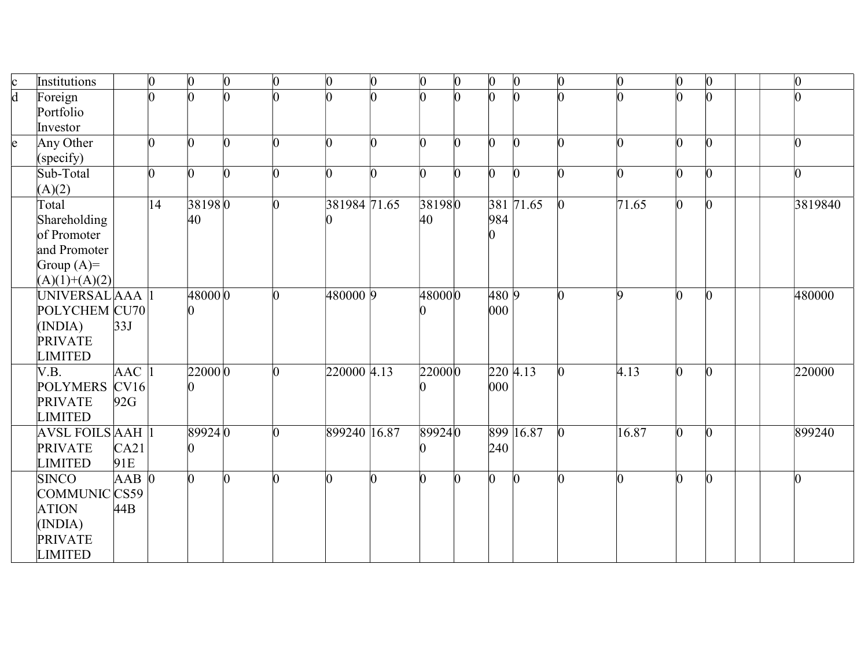| $\mathbf{c}$    | Institutions            |                 | $ 0\rangle$  | $\vert 0 \vert$ | $\vert 0 \vert$ | $\overline{0}$ | $\Omega$     | $\vert 0 \vert$ | $\vert 0 \vert$ | $\overline{0}$ | $\vert 0 \vert$ | $\vert 0 \vert$ | $\vert 0 \vert$ | $\overline{0}$    | $\overline{0}$  | $ 0\rangle$     | $\overline{0}$ |
|-----------------|-------------------------|-----------------|--------------|-----------------|-----------------|----------------|--------------|-----------------|-----------------|----------------|-----------------|-----------------|-----------------|-------------------|-----------------|-----------------|----------------|
| $\overline{d}$  | Foreign                 |                 | h            | n               |                 |                |              | h               | h               | ∩              | h               |                 |                 |                   |                 | l0              |                |
|                 | Portfolio               |                 |              |                 |                 |                |              |                 |                 |                |                 |                 |                 |                   |                 |                 |                |
|                 | Investor                |                 |              |                 |                 |                |              |                 |                 |                |                 |                 |                 |                   |                 |                 |                |
| $\vert e \vert$ | Any Other               |                 | $\Omega$     | $\Omega$        | $\Omega$        | n              | n            | n               | $\Omega$        | O.             | n               | $\Omega$        | n               | n                 | n               | $\vert 0 \vert$ | 0              |
|                 | (specify)               |                 |              |                 |                 |                |              |                 |                 |                |                 |                 |                 |                   |                 |                 |                |
|                 | Sub-Total               |                 | l0           | 0               | n               | n              |              | n               | <sup>0</sup>    | n              | O.              | $\Omega$        |                 |                   | O               | $\vert 0 \vert$ | 0              |
|                 | (A)(2)                  |                 |              |                 |                 |                |              |                 |                 |                |                 |                 |                 |                   |                 |                 |                |
|                 | Total                   |                 | $ 14\rangle$ | 381980          |                 | n              | 381984 71.65 |                 | 381980          |                |                 | 381 71.65       | $\vert 0 \vert$ | $\sqrt{71.65}$    | $\vert 0 \vert$ | $ 0\rangle$     | 3819840        |
|                 | Shareholding            |                 |              | 40              |                 |                |              |                 | 40              |                | 984             |                 |                 |                   |                 |                 |                |
|                 | of Promoter             |                 |              |                 |                 |                |              |                 |                 |                |                 |                 |                 |                   |                 |                 |                |
|                 | and Promoter            |                 |              |                 |                 |                |              |                 |                 |                |                 |                 |                 |                   |                 |                 |                |
|                 | Group $(A)=$            |                 |              |                 |                 |                |              |                 |                 |                |                 |                 |                 |                   |                 |                 |                |
|                 | $(A)(1)+(A)(2)$         |                 |              |                 |                 |                |              |                 |                 |                |                 |                 |                 |                   |                 |                 |                |
|                 | UNIVERSAL AAA           |                 |              | 48000 0         |                 |                | 480000 9     |                 | 480000          |                | 4809            |                 | n               | Q                 | h               | $\vert 0 \vert$ | 480000         |
|                 | POLYCHEM CU70           |                 |              |                 |                 |                |              |                 |                 |                | 000             |                 |                 |                   |                 |                 |                |
|                 | (INDIA)                 | 33J             |              |                 |                 |                |              |                 |                 |                |                 |                 |                 |                   |                 |                 |                |
|                 | <b>PRIVATE</b>          |                 |              |                 |                 |                |              |                 |                 |                |                 |                 |                 |                   |                 |                 |                |
|                 | <b>LIMITED</b>          |                 |              |                 |                 |                |              |                 |                 |                |                 |                 |                 |                   |                 |                 |                |
|                 | V.B.                    | $ {\rm AAC}\> $ |              | 22000 0         |                 |                | 220000 4.13  |                 | 220000          |                |                 | 220 4.13        | 0               | $\overline{4.13}$ | 0               | $\vert 0 \vert$ | 220000         |
|                 | <b>POLYMERS</b>         | CV16            |              |                 |                 |                |              |                 |                 |                | 000             |                 |                 |                   |                 |                 |                |
|                 | <b>PRIVATE</b>          | 92G             |              |                 |                 |                |              |                 |                 |                |                 |                 |                 |                   |                 |                 |                |
|                 | <b>LIMITED</b>          |                 |              |                 |                 |                |              |                 |                 |                |                 |                 |                 |                   |                 |                 |                |
|                 | <b>AVSL FOILS AAH 1</b> |                 |              | 899240          |                 | n              | 899240 16.87 |                 | 899240          |                |                 | 899 16.87       | $\Omega$        | 16.87             | l0              | $ 0\rangle$     | 899240         |
|                 | <b>PRIVATE</b>          | CA21            |              |                 |                 |                |              |                 |                 |                | 240             |                 |                 |                   |                 |                 |                |
|                 | <b>LIMITED</b>          | 91E             |              |                 |                 |                |              |                 |                 |                |                 |                 |                 |                   |                 |                 |                |
|                 | <b>SINCO</b>            | $AAB$ 0         |              | 0               | O.              | ∩              |              |                 | n               |                | $\overline{0}$  | $\Omega$        |                 |                   | ∩               | $\Omega$        | O              |
|                 | COMMUNIC CS59           |                 |              |                 |                 |                |              |                 |                 |                |                 |                 |                 |                   |                 |                 |                |
|                 | <b>ATION</b>            | 44B             |              |                 |                 |                |              |                 |                 |                |                 |                 |                 |                   |                 |                 |                |
|                 | (INDIA)                 |                 |              |                 |                 |                |              |                 |                 |                |                 |                 |                 |                   |                 |                 |                |
|                 | <b>PRIVATE</b>          |                 |              |                 |                 |                |              |                 |                 |                |                 |                 |                 |                   |                 |                 |                |
|                 | <b>LIMITED</b>          |                 |              |                 |                 |                |              |                 |                 |                |                 |                 |                 |                   |                 |                 |                |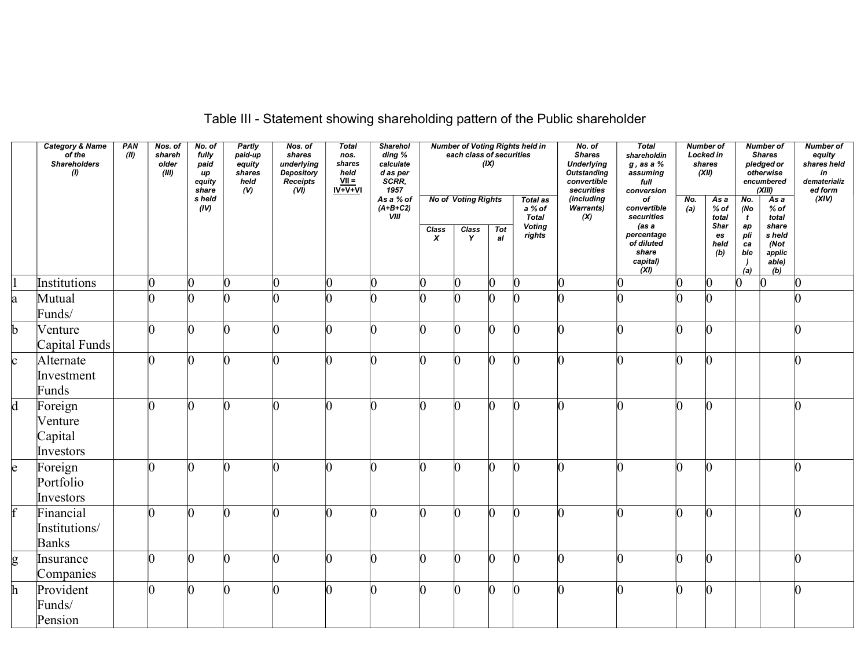|              | Category & Name<br>of the<br><b>Shareholders</b><br>(1) | PAN<br>(II) | Nos. of<br>shareh<br>older<br>(III) | No. of<br>fully<br>paid<br>иp<br>equity<br>share | <b>Partly</b><br>paid-up<br>equity<br>shares<br>held<br>$\omega$ | Nos. of<br>shares<br>underlying<br><b>Depository</b><br>Receipts<br>(VI) | <b>Total</b><br>nos.<br>shares<br>held<br>$\frac{VII}{IV+V+VI}$ | Sharehol<br>ding %<br>calculate<br>d as per<br>SCRR,<br>1957 |                           | each class of securities   | (IX)            | <b>Number of Voting Rights held in</b> | No. of<br><b>Shares</b><br><b>Underlying</b><br>Outstanding<br>convertible<br>securities | <b>Total</b><br>shareholdin<br>$g$ , as a $\%$<br>assuming<br>full<br>conversion |                 | <b>Number of</b><br>Locked in<br>shares<br>(XII) |                               | Number of<br><b>Shares</b><br>pledged or<br>otherwise<br>encumbered<br>(XIII) | <b>Number of</b><br>equity<br>shares held<br>in<br>dematerializ<br>ed form |
|--------------|---------------------------------------------------------|-------------|-------------------------------------|--------------------------------------------------|------------------------------------------------------------------|--------------------------------------------------------------------------|-----------------------------------------------------------------|--------------------------------------------------------------|---------------------------|----------------------------|-----------------|----------------------------------------|------------------------------------------------------------------------------------------|----------------------------------------------------------------------------------|-----------------|--------------------------------------------------|-------------------------------|-------------------------------------------------------------------------------|----------------------------------------------------------------------------|
|              |                                                         |             |                                     | s held<br>(IV)                                   |                                                                  |                                                                          |                                                                 | As a % of<br>$(A+B+C2)$<br><b>VIII</b>                       |                           | <b>No of Voting Rights</b> |                 | <b>Total as</b><br>a % of<br>Total     | (including<br><b>Warrants)</b><br>(X)                                                    | of<br>convertible<br>securities                                                  | No.<br>(a)      | As a<br>% of<br>total                            | No.<br>(No<br>$\mathbf{t}$    | $\overline{Asa}$<br>% of<br>total                                             | (XIV)                                                                      |
|              |                                                         |             |                                     |                                                  |                                                                  |                                                                          |                                                                 |                                                              | Class<br>$\boldsymbol{x}$ | Class<br>Y                 | <b>Tot</b><br>a | <b>Voting</b><br>rights                |                                                                                          | (as a<br>percentage<br>of diluted<br>share<br>capital)<br>(XI)                   |                 | Shar<br>es<br>held<br>(b)                        | ap<br>pli<br>ca<br>ble<br>(a) | share<br>s held<br>(Not<br>applic<br>able)<br>(b)                             |                                                                            |
|              | Institutions                                            |             | $\overline{0}$                      |                                                  | $\vert 0 \vert$                                                  |                                                                          | $\Omega$                                                        |                                                              | $\vert 0 \vert$           | $\vert 0 \vert$            | $ 0\rangle$     | $\vert 0 \vert$                        | $\vert 0 \vert$                                                                          |                                                                                  | $ 0\rangle$     | $ 0\rangle$                                      | $\vert 0 \vert$               | n                                                                             |                                                                            |
| la.          | Mutual<br>Funds/                                        |             | n.                                  |                                                  | $\Omega$                                                         |                                                                          |                                                                 |                                                              | n                         |                            | $\sqrt{ }$      | n                                      |                                                                                          |                                                                                  | n               | n.                                               |                               |                                                                               |                                                                            |
| b            | Venture<br>Capital Funds                                |             | lO.                                 | n.                                               | $\vert$ 0                                                        |                                                                          | n                                                               |                                                              | n                         | n                          | $\vert 0 \vert$ | $\Omega$                               | n                                                                                        |                                                                                  | $\vert 0 \vert$ | $\vert 0 \vert$                                  |                               |                                                                               |                                                                            |
| $\mathbf{c}$ | Alternate<br>Investment<br>Funds                        |             | n.                                  | n.                                               | $\Omega$                                                         |                                                                          |                                                                 |                                                              | n                         | n                          | $\vert 0 \vert$ | $\Omega$                               | n                                                                                        |                                                                                  | $\vert$ 0       | $\vert 0 \vert$                                  |                               |                                                                               |                                                                            |
| d            | Foreign<br>Venture<br>Capital<br>Investors              |             | n.                                  | n.                                               | $\Omega$                                                         |                                                                          | n                                                               |                                                              | h                         | n                          | $\vert 0 \vert$ | $\Omega$                               | n                                                                                        |                                                                                  | $\vert$ 0       | $\vert 0 \vert$                                  |                               |                                                                               |                                                                            |
| le.          | Foreign<br>Portfolio<br>Investors                       |             | ∩                                   |                                                  | $\Omega$                                                         |                                                                          |                                                                 |                                                              |                           |                            | In              | n                                      |                                                                                          |                                                                                  | n               | n                                                |                               |                                                                               |                                                                            |
|              | Financial<br>Institutions/<br><b>Banks</b>              |             | n.                                  | n                                                | $\Omega$                                                         |                                                                          |                                                                 |                                                              |                           |                            | $\Omega$        | n                                      |                                                                                          |                                                                                  | n               | $\Omega$                                         |                               |                                                                               |                                                                            |
| g            | Insurance<br>Companies                                  |             | n.                                  | n                                                | $\Omega$                                                         |                                                                          |                                                                 |                                                              | n                         | n                          | $\Omega$        | $\Omega$                               | n                                                                                        |                                                                                  | $\Omega$        | $\Omega$                                         |                               |                                                                               |                                                                            |
|              | Provident<br>Funds/<br>Pension                          |             | ∩                                   |                                                  | $\Omega$                                                         |                                                                          |                                                                 |                                                              |                           |                            |                 | n                                      |                                                                                          |                                                                                  |                 | 0                                                |                               |                                                                               |                                                                            |

Table III - Statement showing shareholding pattern of the Public shareholder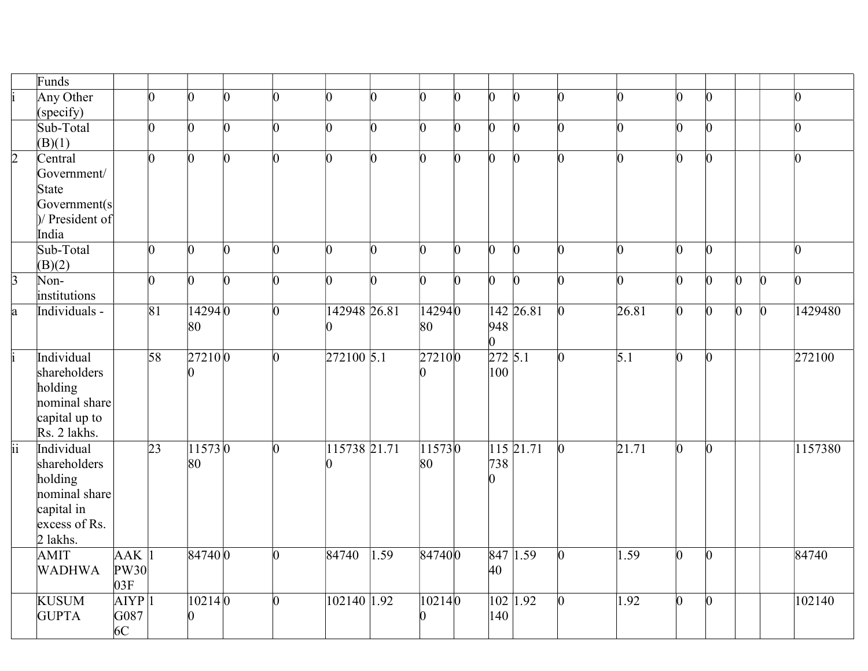|                 | Funds                         |                           |                 |                |                 |                 |                |                 |        |          |                |                      |                 |                    |                 |                  |             |                 |                 |
|-----------------|-------------------------------|---------------------------|-----------------|----------------|-----------------|-----------------|----------------|-----------------|--------|----------|----------------|----------------------|-----------------|--------------------|-----------------|------------------|-------------|-----------------|-----------------|
|                 | Any Other                     |                           | $\Omega$        | n.             | $\Omega$        | $\Omega$        | n              | b               | n      | n        | h              | n                    | $\Omega$        | n.                 | b               |                  |             |                 | n               |
|                 | (specify)                     |                           |                 |                |                 |                 |                |                 |        |          |                |                      |                 |                    |                 |                  |             |                 |                 |
|                 | Sub-Total                     |                           | $\vert$ 0       | $\overline{0}$ | $\vert 0 \vert$ | $\vert 0 \vert$ | $\Omega$       | $\overline{0}$  | 0      | $\Omega$ | $\bm{0}$       | $\overline{0}$       | $\overline{0}$  | n.                 | $\vert 0 \vert$ | $\Omega$         |             |                 | $\vert 0 \vert$ |
|                 | (B)(1)                        |                           |                 |                |                 |                 |                |                 |        |          |                |                      |                 |                    |                 |                  |             |                 |                 |
| $\overline{2}$  | Central                       |                           | $\vert 0 \vert$ | $\overline{0}$ | n.              | $\Omega$        | n              | $\vert 0 \vert$ | n      | n        | $\overline{0}$ | $\Omega$             | n.              | n.                 | n               | $\Omega$         |             |                 | n               |
|                 | Government/                   |                           |                 |                |                 |                 |                |                 |        |          |                |                      |                 |                    |                 |                  |             |                 |                 |
|                 | State                         |                           |                 |                |                 |                 |                |                 |        |          |                |                      |                 |                    |                 |                  |             |                 |                 |
|                 | Government(s                  |                           |                 |                |                 |                 |                |                 |        |          |                |                      |                 |                    |                 |                  |             |                 |                 |
|                 | $\mathcal{V}$ President of    |                           |                 |                |                 |                 |                |                 |        |          |                |                      |                 |                    |                 |                  |             |                 |                 |
|                 | India                         |                           |                 |                |                 |                 |                |                 |        |          |                |                      |                 |                    |                 |                  |             |                 |                 |
|                 | Sub-Total                     |                           | $\vert$ 0       | $\overline{0}$ | $\overline{0}$  | $\overline{0}$  | $\overline{0}$ | $\vert 0 \vert$ | O.     | 0        | $\mathbf{0}$   | $\vert$ <sup>0</sup> | $\overline{0}$  | l0.                | $\vert 0 \vert$ | $\vert 0 \vert$  |             |                 | $\overline{0}$  |
|                 | (B)(2)                        |                           |                 |                |                 |                 |                |                 |        |          |                |                      |                 |                    |                 |                  |             |                 |                 |
| $\overline{3}$  | Non-                          |                           | $\vert$ 0       | O.             | $\vert 0 \vert$ | $\overline{0}$  | $\Omega$       | 0               | O.     | O.       | $\overline{0}$ | $\Omega$             | $\Omega$        | l0.                | l0              | $\Omega$         | $ 0\rangle$ | $\vert$ 0       | $\overline{0}$  |
|                 | institutions                  |                           |                 |                |                 |                 |                |                 |        |          |                |                      |                 |                    |                 |                  |             |                 |                 |
| a               | Individuals -                 |                           | $\overline{81}$ | 14294 0        |                 | $\vert$ 0       | 142948 26.81   |                 | 142940 |          |                | 142 26.81            | $\vert 0 \vert$ | 26.81              | $\vert 0 \vert$ | $\vert 0 \vert$  | $ 0\rangle$ | $\vert 0 \vert$ | 1429480         |
|                 |                               |                           |                 | 80             |                 |                 |                |                 | 80     |          | 948            |                      |                 |                    |                 |                  |             |                 |                 |
|                 |                               |                           |                 |                |                 |                 |                |                 |        |          | 0              |                      |                 |                    |                 |                  |             |                 |                 |
|                 | Individual                    |                           | $\overline{58}$ | 272100         |                 | $\overline{0}$  | $272100$ 5.1   |                 | 272100 |          | 272 5.1        |                      | $\overline{0}$  | $\overline{5.1}$   | $\overline{0}$  | $\vert 0 \vert$  |             |                 | 272100          |
|                 | shareholders                  |                           |                 | 0              |                 |                 |                |                 |        |          | 100            |                      |                 |                    |                 |                  |             |                 |                 |
|                 | holding                       |                           |                 |                |                 |                 |                |                 |        |          |                |                      |                 |                    |                 |                  |             |                 |                 |
|                 | nominal share                 |                           |                 |                |                 |                 |                |                 |        |          |                |                      |                 |                    |                 |                  |             |                 |                 |
|                 | capital up to<br>Rs. 2 lakhs. |                           |                 |                |                 |                 |                |                 |        |          |                |                      |                 |                    |                 |                  |             |                 |                 |
| $\overline{ii}$ | Individual                    |                           | $\overline{23}$ | 115730         |                 | $\overline{0}$  | 115738 21.71   |                 | 115730 |          |                | $115$ 21.71          |                 | $\overline{21.71}$ | $\vert 0 \vert$ |                  |             |                 |                 |
|                 |                               |                           |                 |                |                 |                 |                |                 |        |          |                |                      | $\vert 0 \vert$ |                    |                 | $\vert 0 \vert$  |             |                 | 1157380         |
|                 | shareholders                  |                           |                 | 80             |                 |                 |                |                 | 80     |          | 738<br>n       |                      |                 |                    |                 |                  |             |                 |                 |
|                 | holding<br>nominal share      |                           |                 |                |                 |                 |                |                 |        |          |                |                      |                 |                    |                 |                  |             |                 |                 |
|                 | capital in                    |                           |                 |                |                 |                 |                |                 |        |          |                |                      |                 |                    |                 |                  |             |                 |                 |
|                 | excess of Rs.                 |                           |                 |                |                 |                 |                |                 |        |          |                |                      |                 |                    |                 |                  |             |                 |                 |
|                 | $2$ lakhs.                    |                           |                 |                |                 |                 |                |                 |        |          |                |                      |                 |                    |                 |                  |             |                 |                 |
|                 | AMIT                          | $AAK$ <sup>1</sup>        |                 | 847400         |                 | $\overline{0}$  | 84740          | 1.59            | 847400 |          |                | 847 1.59             | $\vert 0 \vert$ | 1.59               | $\vert 0 \vert$ | $\vert 0 \vert$  |             |                 | 84740           |
|                 |                               |                           |                 |                |                 |                 |                |                 |        |          |                |                      |                 |                    |                 |                  |             |                 |                 |
|                 |                               |                           |                 |                |                 |                 |                |                 |        |          |                |                      |                 |                    |                 |                  |             |                 |                 |
|                 | <b>WADHWA</b>                 | PW30                      |                 |                |                 |                 |                |                 |        |          | 40             |                      |                 |                    |                 |                  |             |                 |                 |
|                 |                               | 03F                       |                 |                |                 |                 |                |                 |        |          |                |                      |                 |                    |                 |                  |             |                 |                 |
|                 | <b>KUSUM</b><br><b>GUPTA</b>  | AIYP <sub>1</sub><br>G087 |                 | 102140         |                 | 0               | 102140 1.92    |                 | 102140 |          | 140            | 102 1.92             |                 | 1.92               | 0               | $\boldsymbol{0}$ |             |                 | 102140          |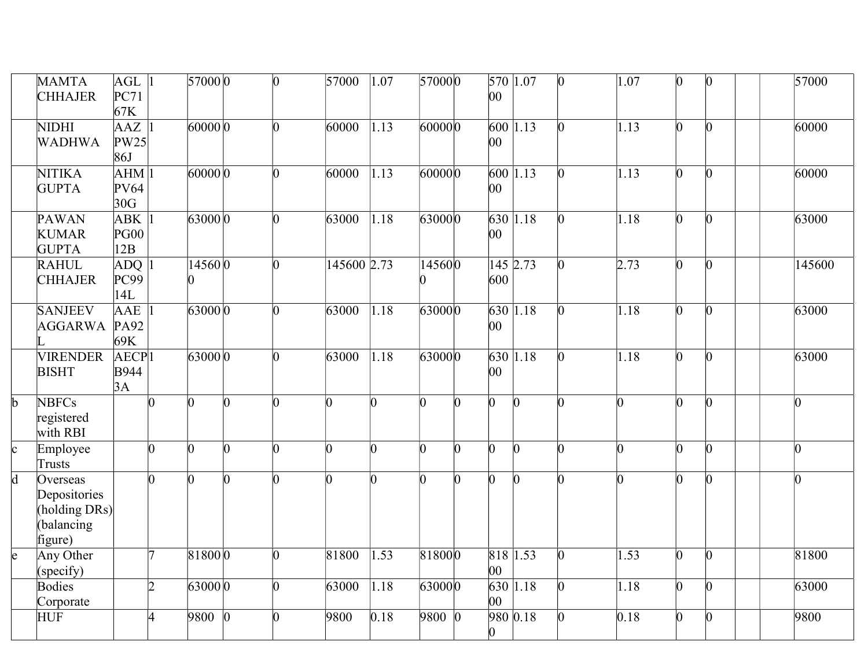|                 | <b>MAMTA</b><br><b>CHHAJER</b>                                     | $AGL$ <sup>1</sup><br>PC71<br>67K      |                 | 57000 0        |                | $\overline{0}$ | 57000       | 1.07           | 570000         |                | 570 1.07<br>00 |            | $\Omega$ | 1.07           | $\vert 0 \vert$ | $ 0\rangle$     | $\overline{57000}$ |
|-----------------|--------------------------------------------------------------------|----------------------------------------|-----------------|----------------|----------------|----------------|-------------|----------------|----------------|----------------|----------------|------------|----------|----------------|-----------------|-----------------|--------------------|
|                 | <b>NIDHI</b><br>WADHWA                                             | $AAZ$ 1<br>PW25<br>86J                 |                 | 600000         |                | h              | 60000       | 1.13           | 600000         |                | 00             | 600 1.13   | O.       | 1.13           | 0               | $\vert 0 \vert$ | 60000              |
|                 | <b>NITIKA</b><br><b>GUPTA</b>                                      | AHM 1<br>PV64<br>30G                   |                 | 600000         |                | n.             | 60000       | 1.13           | 600000         |                | 00             | 600 1.13   |          | 1.13           | h               | $\vert 0 \vert$ | 60000              |
|                 | <b>PAWAN</b><br><b>KUMAR</b><br><b>GUPTA</b>                       | $ABK$ <sup>1</sup><br>PG00<br>12B      |                 | 630000         |                | n.             | 63000       | 1.18           | 630000         |                | 00             | $630$ 1.18 |          | 1.18           | b               | $\vert 0 \vert$ | 63000              |
|                 | <b>RAHUL</b><br><b>CHHAJER</b>                                     | $ADQ$ <sup>1</sup><br>PC99<br>14L      |                 | 145600         |                | n.             | 145600 2.73 |                | 145600         |                | 600            | 145 2.73   | 0        | 2.73           | $\overline{0}$  | $\vert 0 \vert$ | 145600             |
|                 | <b>SANJEEV</b><br>AGGARWA PA92                                     | AAE <sup>1</sup><br>69K                |                 | 630000         |                | ∩              | 63000       | 1.18           | 630000         |                | 00             | 630 1.18   | O.       | 1.18           | O.              | $\vert 0 \vert$ | 63000              |
|                 | <b>VIRENDER</b><br><b>BISHT</b>                                    | AECP <sub>1</sub><br><b>B944</b><br>3A |                 | 63000 0        |                | 0              | 63000       | 1.18           | 630000         |                | 00             | $630$ 1.18 | O.       | 1.18           | $\overline{0}$  | $ 0\rangle$     | 63000              |
| $\mathbf{b}$    | <b>NBFCs</b><br>registered<br>with RBI                             |                                        | $\overline{0}$  | n              | n              | n              | n           | n.             | h              | U              | $\overline{0}$ | $\Omega$   | n        | O.             | $\overline{0}$  | $\vert 0 \vert$ | $\vert 0 \vert$    |
| $\vert_{\rm c}$ | Employee<br>Trusts                                                 |                                        | $\vert 0 \vert$ | $\overline{0}$ | $\overline{0}$ | h              | b.          | $\overline{0}$ | $\overline{0}$ | $\overline{0}$ | $\overline{0}$ | O.         | 0        | $\overline{0}$ | $\overline{0}$  | $\vert 0 \vert$ | $\vert 0 \vert$    |
| $\overline{d}$  | Overseas<br>Depositories<br>(holding DRs)<br>(balancing<br>figure) |                                        | $\overline{0}$  | O.             | b              | h              | n           | 0              | $\overline{0}$ | $\Omega$       | $\overline{0}$ |            | n        | n.             | l0              | $\vert 0 \vert$ | $\vert 0 \vert$    |
| $\overline{e}$  | Any Other<br>(specify)                                             |                                        | 17              | 818000         |                | h              | 81800       | 1.53           | 818000         |                | 818 1.53<br>00 |            | 0        | 1.53           | $\overline{0}$  | $\vert 0 \vert$ | 81800              |
|                 | Bodies<br>Corporate                                                |                                        | $\overline{2}$  | 630000         |                | n.             | 63000       | 1.18           | 630000         |                | $ 00\rangle$   | 630 1.18   | O.       | 1.18           | $\vert 0 \vert$ | $\vert 0 \vert$ | 63000              |
|                 | <b>HUF</b>                                                         |                                        | 4               | 9800           | $\mathbf{0}$   | 0              | 9800        | 0.18           | 9800 0         |                | 0              | 980 0.18   |          | 0.18           | n               | $\mathbf{0}$    | 9800               |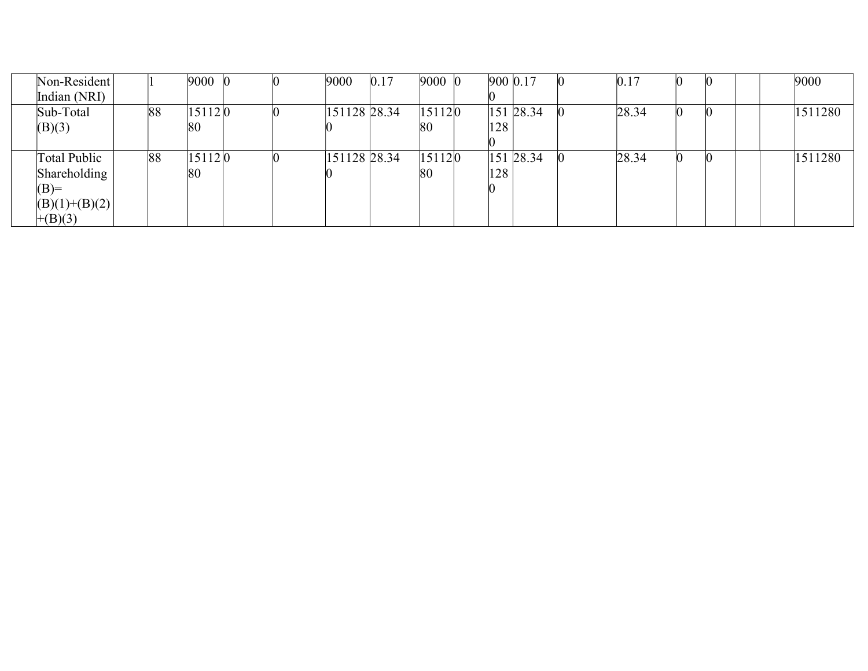| Non-Resident    |    | 9000   |  | 9000         | 0.17 | $9000$ $($ | 900 0.17 |           | 0.17  |  |  | 9000    |
|-----------------|----|--------|--|--------------|------|------------|----------|-----------|-------|--|--|---------|
| Indian (NRI)    |    |        |  |              |      |            |          |           |       |  |  |         |
| Sub-Total       | 88 | 151120 |  | 151128 28.34 |      | 15112 0    |          | 151 28.34 | 28.34 |  |  | 1511280 |
| (B)(3)          |    | 80     |  |              |      | 80         | 128      |           |       |  |  |         |
|                 |    |        |  |              |      |            |          |           |       |  |  |         |
| Total Public    | 88 | 151120 |  | 151128 28.34 |      | 151120     |          | 151 28.34 | 28.34 |  |  | 1511280 |
| Shareholding    |    | 80     |  |              |      | 80         | 128      |           |       |  |  |         |
| $(B)=$          |    |        |  |              |      |            |          |           |       |  |  |         |
| $(B)(1)+(B)(2)$ |    |        |  |              |      |            |          |           |       |  |  |         |
| $+(B)(3)$       |    |        |  |              |      |            |          |           |       |  |  |         |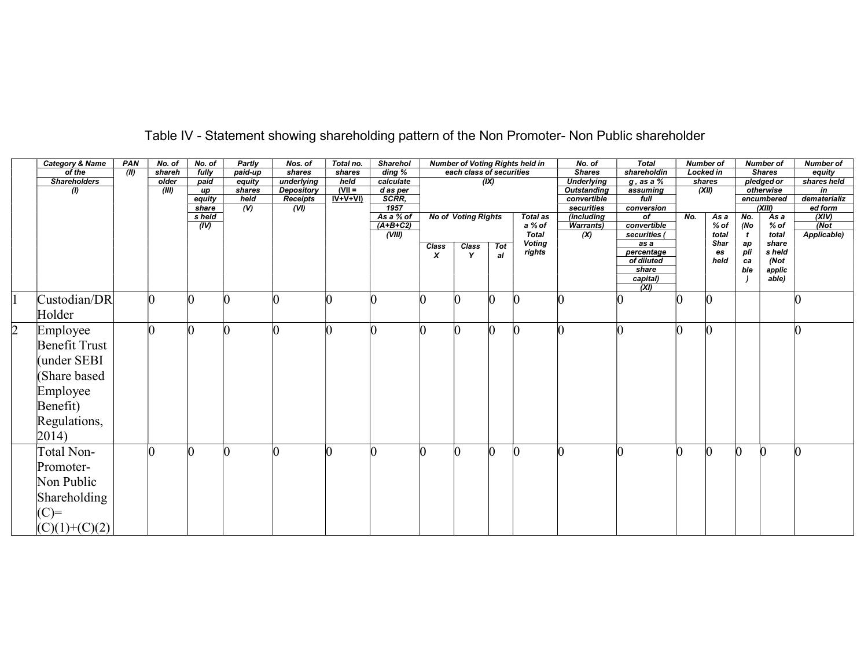|            | <b>Category &amp; Name</b> | PAN   | No. of | No. of         | <b>Partly</b>  | Nos. of          | Total no. | <b>Sharehol</b>      |                  |                            |     | <b>Number of Voting Rights held in</b> | No. of                  | Total                       |          | <b>Number of</b> |           | <b>Number of</b> | <b>Number of</b> |  |
|------------|----------------------------|-------|--------|----------------|----------------|------------------|-----------|----------------------|------------------|----------------------------|-----|----------------------------------------|-------------------------|-----------------------------|----------|------------------|-----------|------------------|------------------|--|
|            | of the                     | (III) | shareh | fully          | paid-up        | shares           | shares    | $\overline{diag}$ %  |                  | each class of securities   |     |                                        | <b>Shares</b>           | shareholdin                 |          | <b>Locked in</b> |           | <b>Shares</b>    | equity           |  |
|            | <b>Shareholders</b>        |       | older  | paid           | equity         | underlying       | held      | calculate            |                  |                            | (X) |                                        | <b>Underlying</b>       | $g$ , as a $\%$             |          | shares           |           | pledged or       | shares held      |  |
|            | $\boldsymbol{\theta}$      |       | (III)  | up             | shares         | Depository       | $N =$     | d as per             |                  |                            |     |                                        | <b>Outstanding</b>      | assuming                    |          | (XII)            |           | otherwise        | in               |  |
|            |                            |       |        | equity         | held           | <b>Receipts</b>  | $IV+V+VI$ | SCRR,                |                  |                            |     |                                        | convertible             | full                        |          |                  |           | encumbered       | dematerializ     |  |
|            |                            |       |        | share          | $\overline{w}$ | $\overline{(V)}$ |           | 1957                 |                  |                            |     |                                        | securities              | conversion                  |          |                  |           | (XIII)           | ed form          |  |
|            |                            |       |        | s held         |                |                  |           | As a % of            |                  | <b>No of Voting Rights</b> |     | Total as                               | (including              | of                          | No.      | $\overline{Asa}$ | No.       | Asa              | (XIV)<br>(Not    |  |
|            |                            |       |        | $\overline{w}$ |                |                  |           | $(A+B+C2)$<br>(VIII) |                  |                            |     | a % of<br><b>Total</b>                 | <b>Warrants)</b><br>(X) | convertible<br>securities ( |          | $%$ of           | (No       | % of             | Applicable)      |  |
|            |                            |       |        |                |                |                  |           |                      |                  |                            |     | <b>Voting</b>                          |                         | as a                        |          | total<br>Shar    |           | total<br>share   |                  |  |
|            |                            |       |        |                |                |                  |           |                      | Class            | $\frac{Class}{Y}$          | Tot | rights                                 |                         | percentage                  |          | es               | ap<br>pli | s held           |                  |  |
|            |                            |       |        |                |                |                  |           |                      | $\boldsymbol{x}$ |                            | al  |                                        |                         | of diluted                  |          | held             | ca        | (Not             |                  |  |
|            |                            |       |        |                |                |                  |           |                      |                  |                            |     |                                        |                         | share                       |          |                  | ble       | applic           |                  |  |
|            |                            |       |        |                |                |                  |           |                      |                  |                            |     |                                        |                         | capital)                    |          |                  |           | able)            |                  |  |
|            |                            |       |        |                |                |                  |           |                      |                  |                            |     |                                        |                         | (XI)                        |          |                  |           |                  |                  |  |
|            | Custodian/DR               |       |        | n              |                |                  |           |                      |                  | $\overline{0}$             |     |                                        |                         |                             | l0       |                  |           |                  |                  |  |
|            |                            |       |        |                |                |                  |           |                      |                  |                            |     |                                        |                         |                             |          |                  |           |                  |                  |  |
|            | Holder                     |       |        |                |                |                  |           |                      |                  |                            |     |                                        |                         |                             |          |                  |           |                  |                  |  |
| $\sqrt{2}$ | Employee                   |       |        |                |                |                  |           |                      |                  | O                          |     |                                        |                         |                             | $\Omega$ |                  |           |                  |                  |  |
|            | Benefit Trust              |       |        |                |                |                  |           |                      |                  |                            |     |                                        |                         |                             |          |                  |           |                  |                  |  |
|            |                            |       |        |                |                |                  |           |                      |                  |                            |     |                                        |                         |                             |          |                  |           |                  |                  |  |
|            | (under SEBI                |       |        |                |                |                  |           |                      |                  |                            |     |                                        |                         |                             |          |                  |           |                  |                  |  |
|            | (Share based               |       |        |                |                |                  |           |                      |                  |                            |     |                                        |                         |                             |          |                  |           |                  |                  |  |
|            |                            |       |        |                |                |                  |           |                      |                  |                            |     |                                        |                         |                             |          |                  |           |                  |                  |  |
|            | Employee                   |       |        |                |                |                  |           |                      |                  |                            |     |                                        |                         |                             |          |                  |           |                  |                  |  |
|            | Benefit)                   |       |        |                |                |                  |           |                      |                  |                            |     |                                        |                         |                             |          |                  |           |                  |                  |  |
|            |                            |       |        |                |                |                  |           |                      |                  |                            |     |                                        |                         |                             |          |                  |           |                  |                  |  |
|            | Regulations,               |       |        |                |                |                  |           |                      |                  |                            |     |                                        |                         |                             |          |                  |           |                  |                  |  |
|            | $ 2014\rangle$             |       |        |                |                |                  |           |                      |                  |                            |     |                                        |                         |                             |          |                  |           |                  |                  |  |
|            |                            |       |        |                |                |                  |           |                      |                  |                            |     |                                        |                         |                             |          |                  |           |                  |                  |  |
|            | Total Non-                 |       |        |                |                |                  |           |                      |                  |                            |     |                                        |                         |                             |          |                  |           |                  |                  |  |
|            | Promoter-                  |       |        |                |                |                  |           |                      |                  |                            |     |                                        |                         |                             |          |                  |           |                  |                  |  |
|            | Non Public                 |       |        |                |                |                  |           |                      |                  |                            |     |                                        |                         |                             |          |                  |           |                  |                  |  |
|            |                            |       |        |                |                |                  |           |                      |                  |                            |     |                                        |                         |                             |          |                  |           |                  |                  |  |
|            | Shareholding               |       |        |                |                |                  |           |                      |                  |                            |     |                                        |                         |                             |          |                  |           |                  |                  |  |
|            | $(C)=$                     |       |        |                |                |                  |           |                      |                  |                            |     |                                        |                         |                             |          |                  |           |                  |                  |  |
|            | $(C)(1)+(C)(2)$            |       |        |                |                |                  |           |                      |                  |                            |     |                                        |                         |                             |          |                  |           |                  |                  |  |
|            |                            |       |        |                |                |                  |           |                      |                  |                            |     |                                        |                         |                             |          |                  |           |                  |                  |  |

## Table IV - Statement showing shareholding pattern of the Non Promoter- Non Public shareholder